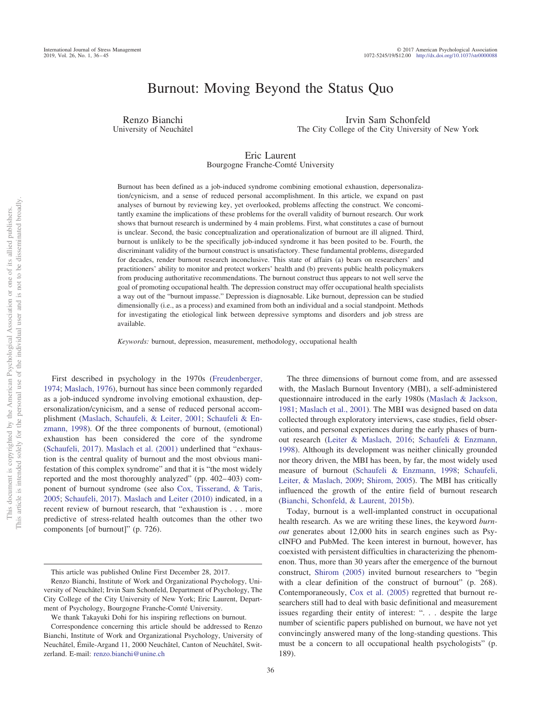# Burnout: Moving Beyond the Status Quo

Renzo Bianchi University of Neuchâtel

Irvin Sam Schonfeld The City College of the City University of New York

#### Eric Laurent Bourgogne Franche-Comté University

Burnout has been defined as a job-induced syndrome combining emotional exhaustion, depersonalization/cynicism, and a sense of reduced personal accomplishment. In this article, we expand on past analyses of burnout by reviewing key, yet overlooked, problems affecting the construct. We concomitantly examine the implications of these problems for the overall validity of burnout research. Our work shows that burnout research is undermined by 4 main problems. First, what constitutes a case of burnout is unclear. Second, the basic conceptualization and operationalization of burnout are ill aligned. Third, burnout is unlikely to be the specifically job-induced syndrome it has been posited to be. Fourth, the discriminant validity of the burnout construct is unsatisfactory. These fundamental problems, disregarded for decades, render burnout research inconclusive. This state of affairs (a) bears on researchers' and practitioners' ability to monitor and protect workers' health and (b) prevents public health policymakers from producing authoritative recommendations. The burnout construct thus appears to not well serve the goal of promoting occupational health. The depression construct may offer occupational health specialists a way out of the "burnout impasse." Depression is diagnosable. Like burnout, depression can be studied dimensionally (i.e., as a process) and examined from both an individual and a social standpoint. Methods for investigating the etiological link between depressive symptoms and disorders and job stress are available.

*Keywords:* burnout, depression, measurement, methodology, occupational health

First described in psychology in the 1970s [\(Freudenberger,](#page-7-0) [1974;](#page-7-0) [Maslach, 1976\)](#page-8-0), burnout has since been commonly regarded as a job-induced syndrome involving emotional exhaustion, depersonalization/cynicism, and a sense of reduced personal accomplishment [\(Maslach, Schaufeli, & Leiter, 2001;](#page-8-1) [Schaufeli & En](#page-9-0)[zmann, 1998\)](#page-9-0). Of the three components of burnout, (emotional) exhaustion has been considered the core of the syndrome [\(Schaufeli, 2017\)](#page-9-1). [Maslach et al. \(2001\)](#page-8-1) underlined that "exhaustion is the central quality of burnout and the most obvious manifestation of this complex syndrome" and that it is "the most widely reported and the most thoroughly analyzed" (pp. 402-403) component of burnout syndrome (see also [Cox, Tisserand, & Taris,](#page-7-1) [2005;](#page-7-1) [Schaufeli, 2017\)](#page-9-1). [Maslach and Leiter \(2010\)](#page-8-2) indicated, in a recent review of burnout research, that "exhaustion is... more predictive of stress-related health outcomes than the other two components [of burnout]" (p. 726).

The three dimensions of burnout come from, and are assessed with, the Maslach Burnout Inventory (MBI), a self-administered questionnaire introduced in the early 1980s [\(Maslach & Jackson,](#page-8-3) [1981;](#page-8-3) [Maslach et al., 2001\)](#page-8-1). The MBI was designed based on data collected through exploratory interviews, case studies, field observations, and personal experiences during the early phases of burnout research [\(Leiter & Maslach, 2016;](#page-8-4) [Schaufeli & Enzmann,](#page-9-0) [1998\)](#page-9-0). Although its development was neither clinically grounded nor theory driven, the MBI has been, by far, the most widely used measure of burnout [\(Schaufeli & Enzmann, 1998;](#page-9-0) [Schaufeli,](#page-9-2) [Leiter, & Maslach, 2009;](#page-9-2) [Shirom, 2005\)](#page-9-3). The MBI has critically influenced the growth of the entire field of burnout research [\(Bianchi, Schonfeld, & Laurent, 2015b\)](#page-6-0).

Today, burnout is a well-implanted construct in occupational health research. As we are writing these lines, the keyword *burnout* generates about 12,000 hits in search engines such as PsycINFO and PubMed. The keen interest in burnout, however, has coexisted with persistent difficulties in characterizing the phenomenon. Thus, more than 30 years after the emergence of the burnout construct, [Shirom \(2005\)](#page-9-3) invited burnout researchers to "begin with a clear definition of the construct of burnout" (p. 268). Contemporaneously, [Cox et al. \(2005\)](#page-7-1) regretted that burnout researchers still had to deal with basic definitional and measurement issues regarding their entity of interest: ". . . despite the large number of scientific papers published on burnout, we have not yet convincingly answered many of the long-standing questions. This must be a concern to all occupational health psychologists" (p. 189).

This article was published Online First December 28, 2017.

Renzo Bianchi, Institute of Work and Organizational Psychology, University of Neuchâtel; Irvin Sam Schonfeld, Department of Psychology, The City College of the City University of New York; Eric Laurent, Department of Psychology, Bourgogne Franche-Comté University.

We thank Takayuki Dohi for his inspiring reflections on burnout.

Correspondence concerning this article should be addressed to Renzo Bianchi, Institute of Work and Organizational Psychology, University of Neuchâtel, Émile-Argand 11, 2000 Neuchâtel, Canton of Neuchâtel, Switzerland. E-mail: [renzo.bianchi@unine.ch](mailto:renzo.bianchi@unine.ch)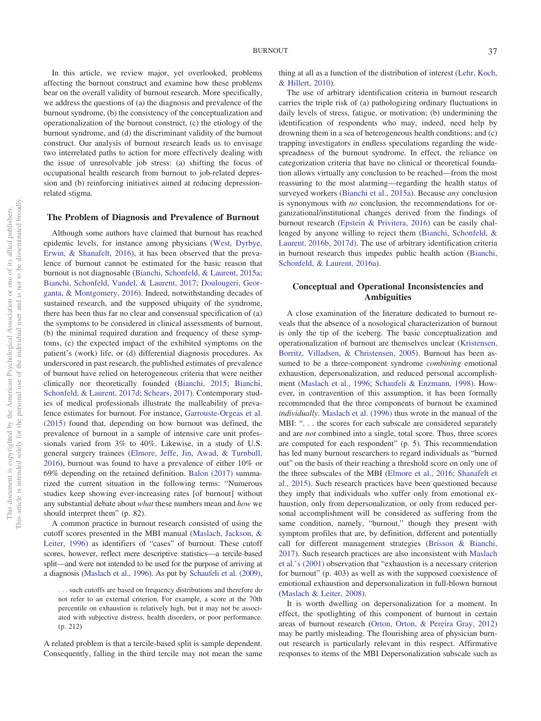In this article, we review major, yet overlooked, problems affecting the burnout construct and examine how these problems bear on the overall validity of burnout research. More specifically, we address the questions of (a) the diagnosis and prevalence of the burnout syndrome, (b) the consistency of the conceptualization and operationalization of the burnout construct, (c) the etiology of the burnout syndrome, and (d) the discriminant validity of the burnout construct. Our analysis of burnout research leads us to envisage two interrelated paths to action for more effectively dealing with the issue of unresolvable job stress: (a) shifting the focus of occupational health research from burnout to job-related depression and (b) reinforcing initiatives aimed at reducing depressionrelated stigma.

## **The Problem of Diagnosis and Prevalence of Burnout**

Although some authors have claimed that burnout has reached epidemic levels, for instance among physicians [\(West, Dyrbye,](#page-9-4) [Erwin, & Shanafelt, 2016\)](#page-9-4), it has been observed that the prevalence of burnout cannot be estimated for the basic reason that burnout is not diagnosable [\(Bianchi, Schonfeld, & Laurent, 2015a;](#page-6-1) [Bianchi, Schonfeld, Vandel, & Laurent, 2017;](#page-6-2) [Doulougeri, Geor](#page-7-2)[ganta, & Montgomery, 2016\)](#page-7-2). Indeed, notwithstanding decades of sustained research, and the supposed ubiquity of the syndrome, there has been thus far no clear and consensual specification of (a) the symptoms to be considered in clinical assessments of burnout, (b) the minimal required duration and frequency of these symptoms, (c) the expected impact of the exhibited symptoms on the patient's (work) life, or (d) differential diagnosis procedures. As underscored in past research, the published estimates of prevalence of burnout have relied on heterogeneous criteria that were neither clinically nor theoretically founded [\(Bianchi, 2015;](#page-6-3) [Bianchi,](#page-6-4) [Schonfeld, & Laurent, 2017d;](#page-6-4) [Schears, 2017\)](#page-9-5). Contemporary studies of medical professionals illustrate the malleability of prevalence estimates for burnout. For instance, [Garrouste-Orgeas et al.](#page-7-3) [\(2015\)](#page-7-3) found that, depending on how burnout was defined, the prevalence of burnout in a sample of intensive care unit professionals varied from 3% to 40%. Likewise, in a study of U.S. general surgery trainees [\(Elmore, Jeffe, Jin, Awad, & Turnbull,](#page-7-4) [2016\)](#page-7-4), burnout was found to have a prevalence of either 10% or 69% depending on the retained definition. [Balon \(2017\)](#page-6-5) summarized the current situation in the following terms: "Numerous studies keep showing ever-increasing rates [of burnout] without any substantial debate about *what* these numbers mean and *how* we should interpret them" (p. 82).

A common practice in burnout research consisted of using the cutoff scores presented in the MBI manual [\(Maslach, Jackson, &](#page-8-5) [Leiter, 1996\)](#page-8-5) as identifiers of "cases" of burnout. These cutoff scores, however, reflect mere descriptive statistics—a tercile-based split—and were not intended to be used for the purpose of arriving at a diagnosis [\(Maslach et al., 1996\)](#page-8-5). As put by [Schaufeli et al. \(2009\),](#page-9-2)

A related problem is that a tercile-based split is sample dependent. Consequently, falling in the third tercile may not mean the same thing at all as a function of the distribution of interest [\(Lehr, Koch,](#page-8-6) [& Hillert, 2010\)](#page-8-6).

The use of arbitrary identification criteria in burnout research carries the triple risk of (a) pathologizing ordinary fluctuations in daily levels of stress, fatigue, or motivation; (b) undermining the identification of respondents who may, indeed, need help by drowning them in a sea of heterogeneous health conditions; and (c) trapping investigators in endless speculations regarding the widespreadness of the burnout syndrome. In effect, the reliance on categorization criteria that have no clinical or theoretical foundation allows virtually any conclusion to be reached—from the most reassuring to the most alarming—regarding the health status of surveyed workers [\(Bianchi et al., 2015a\)](#page-6-1). Because *any* conclusion is synonymous with *no* conclusion, the recommendations for organizational/institutional changes derived from the findings of burnout research [\(Epstein & Privitera, 2016\)](#page-7-5) can be easily challenged by anyone willing to reject them [\(Bianchi, Schonfeld, &](#page-6-6) [Laurent, 2016b,](#page-6-6) [2017d\)](#page-6-4). The use of arbitrary identification criteria in burnout research thus impedes public health action [\(Bianchi,](#page-6-7) [Schonfeld, & Laurent, 2016a\)](#page-6-7).

#### **Conceptual and Operational Inconsistencies and Ambiguities**

A close examination of the literature dedicated to burnout reveals that the absence of a nosological characterization of burnout is only the tip of the iceberg. The basic conceptualization and operationalization of burnout are themselves unclear [\(Kristensen,](#page-7-6) [Borritz, Villadsen, & Christensen, 2005\)](#page-7-6). Burnout has been assumed to be a three-component syndrome *combining* emotional exhaustion, depersonalization, and reduced personal accomplishment [\(Maslach et al., 1996;](#page-8-5) [Schaufeli & Enzmann, 1998\)](#page-9-0). However, in contravention of this assumption, it has been formally recommended that the three components of burnout be examined *individually*. [Maslach et al. \(1996\)](#page-8-5) thus wrote in the manual of the MBI: "... the scores for each subscale are considered separately and are *not* combined into a single, total score. Thus, three scores are computed for each respondent" (p. 5). This recommendation has led many burnout researchers to regard individuals as "burned out" on the basis of their reaching a threshold score on only one of the three subscales of the MBI [\(Elmore et al., 2016;](#page-7-4) [Shanafelt et](#page-9-6) [al., 2015\)](#page-9-6). Such research practices have been questioned because they imply that individuals who suffer only from emotional exhaustion, only from depersonalization, or only from reduced personal accomplishment will be considered as suffering from the same condition, namely, "burnout," though they present with symptom profiles that are, by definition, different and potentially call for different management strategies [\(Brisson & Bianchi,](#page-6-8) [2017\)](#page-6-8). Such research practices are also inconsistent with [Maslach](#page-8-1) [et al.'s \(2001\)](#page-8-1) observation that "exhaustion is a necessary criterion for burnout" (p. 403) as well as with the supposed coexistence of emotional exhaustion and depersonalization in full-blown burnout [\(Maslach & Leiter, 2008\)](#page-8-7).

It is worth dwelling on depersonalization for a moment. In effect, the spotlighting of this component of burnout in certain areas of burnout research [\(Orton, Orton, & Pereira Gray, 2012\)](#page-8-8) may be partly misleading. The flourishing area of physician burnout research is particularly relevant in this respect. Affirmative responses to items of the MBI Depersonalization subscale such as

<sup>. . .</sup> such cutoffs are based on frequency distributions and therefore do not refer to an external criterion. For example, a score at the 70th percentile on exhaustion is relatively high, but it may not be associated with subjective distress, health disorders, or poor performance. (p. 212)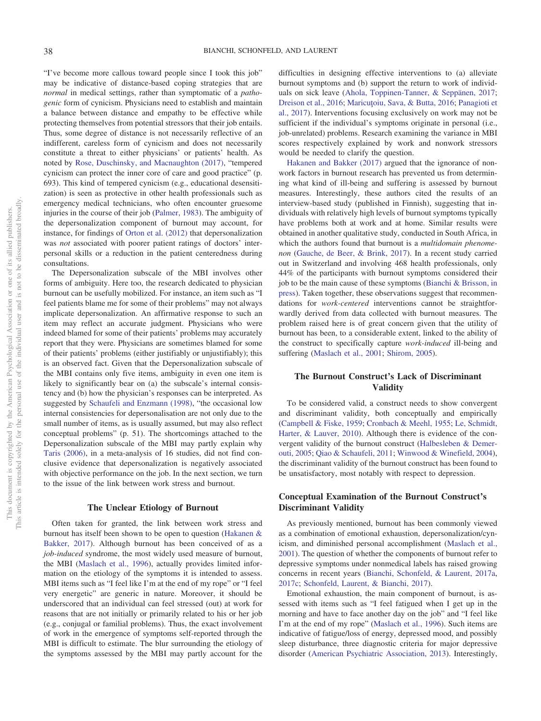"I've become more callous toward people since I took this job" may be indicative of distance-based coping strategies that are *normal* in medical settings, rather than symptomatic of a *pathogenic* form of cynicism. Physicians need to establish and maintain a balance between distance and empathy to be effective while protecting themselves from potential stressors that their job entails. Thus, some degree of distance is not necessarily reflective of an indifferent, careless form of cynicism and does not necessarily constitute a threat to either physicians' or patients' health. As noted by [Rose, Duschinsky, and Macnaughton \(2017\),](#page-8-9) "tempered cynicism can protect the inner core of care and good practice" (p. 693). This kind of tempered cynicism (e.g., educational desensitization) is seen as protective in other health professionals such as emergency medical technicians, who often encounter gruesome injuries in the course of their job [\(Palmer, 1983\)](#page-8-10). The ambiguity of the depersonalization component of burnout may account, for instance, for findings of [Orton et al. \(2012\)](#page-8-8) that depersonalization was *not* associated with poorer patient ratings of doctors' interpersonal skills or a reduction in the patient centeredness during consultations.

The Depersonalization subscale of the MBI involves other forms of ambiguity. Here too, the research dedicated to physician burnout can be usefully mobilized. For instance, an item such as "I feel patients blame me for some of their problems" may not always implicate depersonalization. An affirmative response to such an item may reflect an accurate judgment. Physicians who were indeed blamed for some of their patients' problems may accurately report that they were. Physicians are sometimes blamed for some of their patients' problems (either justifiably or unjustifiably); this is an observed fact. Given that the Depersonalization subscale of the MBI contains only five items, ambiguity in even one item is likely to significantly bear on (a) the subscale's internal consistency and (b) how the physician's responses can be interpreted. As suggested by [Schaufeli and Enzmann \(1998\),](#page-9-0) "the occasional low internal consistencies for depersonalisation are not only due to the small number of items, as is usually assumed, but may also reflect conceptual problems" (p. 51). The shortcomings attached to the Depersonalization subscale of the MBI may partly explain why [Taris \(2006\),](#page-9-7) in a meta-analysis of 16 studies, did not find conclusive evidence that depersonalization is negatively associated with objective performance on the job. In the next section, we turn to the issue of the link between work stress and burnout.

#### **The Unclear Etiology of Burnout**

Often taken for granted, the link between work stress and burnout has itself been shown to be open to question [\(Hakanen &](#page-7-7) [Bakker, 2017\)](#page-7-7). Although burnout has been conceived of as a *job-induced* syndrome, the most widely used measure of burnout, the MBI [\(Maslach et al., 1996\)](#page-8-5), actually provides limited information on the etiology of the symptoms it is intended to assess. MBI items such as "I feel like I'm at the end of my rope" or "I feel very energetic" are generic in nature. Moreover, it should be underscored that an individual can feel stressed (out) at work for reasons that are not initially or primarily related to his or her job (e.g., conjugal or familial problems). Thus, the exact involvement of work in the emergence of symptoms self-reported through the MBI is difficult to estimate. The blur surrounding the etiology of the symptoms assessed by the MBI may partly account for the

difficulties in designing effective interventions to (a) alleviate burnout symptoms and (b) support the return to work of individuals on sick leave [\(Ahola, Toppinen-Tanner, & Seppänen, 2017;](#page-6-9) [Dreison et al., 2016;](#page-7-8) Maricutoiu, Sava, & Butta, 2016; [Panagioti et](#page-8-12) [al., 2017\)](#page-8-12). Interventions focusing exclusively on work may not be sufficient if the individual's symptoms originate in personal (i.e., job-unrelated) problems. Research examining the variance in MBI scores respectively explained by work and nonwork stressors would be needed to clarify the question.

[Hakanen and Bakker \(2017\)](#page-7-7) argued that the ignorance of nonwork factors in burnout research has prevented us from determining what kind of ill-being and suffering is assessed by burnout measures. Interestingly, these authors cited the results of an interview-based study (published in Finnish), suggesting that individuals with relatively high levels of burnout symptoms typically have problems both at work and at home. Similar results were obtained in another qualitative study, conducted in South Africa, in which the authors found that burnout is a *multidomain phenomenon* [\(Gauche, de Beer, & Brink, 2017\)](#page-7-9). In a recent study carried out in Switzerland and involving 468 health professionals, only 44% of the participants with burnout symptoms considered their job to be the main cause of these symptoms [\(Bianchi & Brisson, in](#page-6-10) [press\)](#page-6-10). Taken together, these observations suggest that recommendations for *work-centered* interventions cannot be straightforwardly derived from data collected with burnout measures. The problem raised here is of great concern given that the utility of burnout has been, to a considerable extent, linked to the ability of the construct to specifically capture *work-induced* ill-being and suffering [\(Maslach et al., 2001;](#page-8-1) [Shirom, 2005\)](#page-9-3).

### **The Burnout Construct's Lack of Discriminant Validity**

To be considered valid, a construct needs to show convergent and discriminant validity, both conceptually and empirically [\(Campbell & Fiske, 1959;](#page-7-10) [Cronbach & Meehl, 1955;](#page-7-11) [Le, Schmidt,](#page-8-13) [Harter, & Lauver, 2010\)](#page-8-13). Although there is evidence of the convergent validity of the burnout construct [\(Halbesleben & Demer](#page-7-12)[outi, 2005;](#page-7-12) [Qiao & Schaufeli, 2011;](#page-8-14) [Winwood & Winefield, 2004\)](#page-9-8), the discriminant validity of the burnout construct has been found to be unsatisfactory, most notably with respect to depression.

## **Conceptual Examination of the Burnout Construct's Discriminant Validity**

As previously mentioned, burnout has been commonly viewed as a combination of emotional exhaustion, depersonalization/cynicism, and diminished personal accomplishment [\(Maslach et al.,](#page-8-1) [2001\)](#page-8-1). The question of whether the components of burnout refer to depressive symptoms under nonmedical labels has raised growing concerns in recent years [\(Bianchi, Schonfeld, & Laurent, 2017a,](#page-6-11) [2017c;](#page-6-12) [Schonfeld, Laurent, & Bianchi, 2017\)](#page-9-9).

Emotional exhaustion, the main component of burnout, is assessed with items such as "I feel fatigued when I get up in the morning and have to face another day on the job" and "I feel like I'm at the end of my rope" [\(Maslach et al., 1996\)](#page-8-5). Such items are indicative of fatigue/loss of energy, depressed mood, and possibly sleep disturbance, three diagnostic criteria for major depressive disorder [\(American Psychiatric Association, 2013\)](#page-6-13). Interestingly,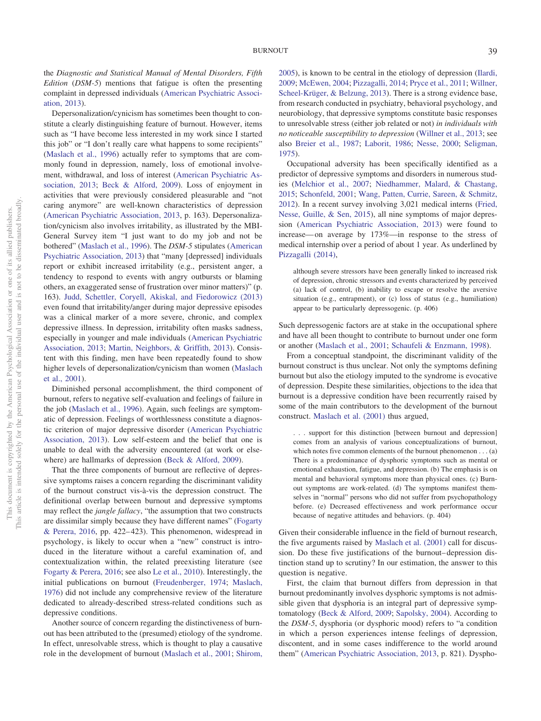the *Diagnostic and Statistical Manual of Mental Disorders, Fifth Edition* (*DSM-5*) mentions that fatigue is often the presenting complaint in depressed individuals [\(American Psychiatric Associ](#page-6-13)[ation, 2013\)](#page-6-13).

Depersonalization/cynicism has sometimes been thought to constitute a clearly distinguishing feature of burnout. However, items such as "I have become less interested in my work since I started this job" or "I don't really care what happens to some recipients" [\(Maslach et al., 1996\)](#page-8-5) actually refer to symptoms that are commonly found in depression, namely, loss of emotional involvement, withdrawal, and loss of interest [\(American Psychiatric As](#page-6-13)[sociation, 2013;](#page-6-13) [Beck & Alford, 2009\)](#page-6-14). Loss of enjoyment in activities that were previously considered pleasurable and "not caring anymore" are well-known characteristics of depression [\(American Psychiatric Association, 2013,](#page-6-13) p. 163). Depersonalization/cynicism also involves irritability, as illustrated by the MBI-General Survey item "I just want to do my job and not be bothered" [\(Maslach et al., 1996\)](#page-8-5). The *DSM-5* stipulates [\(American](#page-6-13) [Psychiatric Association, 2013\)](#page-6-13) that "many [depressed] individuals report or exhibit increased irritability (e.g., persistent anger, a tendency to respond to events with angry outbursts or blaming others, an exaggerated sense of frustration over minor matters)" (p. 163). [Judd, Schettler, Coryell, Akiskal, and Fiedorowicz \(2013\)](#page-7-13) even found that irritability/anger during major depressive episodes was a clinical marker of a more severe, chronic, and complex depressive illness. In depression, irritability often masks sadness, especially in younger and male individuals [\(American Psychiatric](#page-6-13) [Association, 2013;](#page-6-13) [Martin, Neighbors, & Griffith, 2013\)](#page-8-15). Consistent with this finding, men have been repeatedly found to show higher levels of depersonalization/cynicism than women [\(Maslach](#page-8-1) [et al., 2001\)](#page-8-1).

Diminished personal accomplishment, the third component of burnout, refers to negative self-evaluation and feelings of failure in the job [\(Maslach et al., 1996\)](#page-8-5). Again, such feelings are symptomatic of depression. Feelings of worthlessness constitute a diagnostic criterion of major depressive disorder [\(American Psychiatric](#page-6-13) [Association, 2013\)](#page-6-13). Low self-esteem and the belief that one is unable to deal with the adversity encountered (at work or elsewhere) are hallmarks of depression [\(Beck & Alford, 2009\)](#page-6-14).

That the three components of burnout are reflective of depressive symptoms raises a concern regarding the discriminant validity of the burnout construct vis-a`-vis the depression construct. The definitional overlap between burnout and depressive symptoms may reflect the *jangle fallacy*, "the assumption that two constructs are dissimilar simply because they have different names" [\(Fogarty](#page-7-14) [& Perera, 2016,](#page-7-14) pp. 422– 423). This phenomenon, widespread in psychology, is likely to occur when a "new" construct is introduced in the literature without a careful examination of, and contextualization within, the related preexisting literature (see [Fogarty & Perera, 2016;](#page-7-14) see also [Le et al., 2010\)](#page-8-13). Interestingly, the initial publications on burnout [\(Freudenberger, 1974;](#page-7-0) [Maslach,](#page-8-0) [1976\)](#page-8-0) did not include any comprehensive review of the literature dedicated to already-described stress-related conditions such as depressive conditions.

Another source of concern regarding the distinctiveness of burnout has been attributed to the (presumed) etiology of the syndrome. In effect, unresolvable stress, which is thought to play a causative role in the development of burnout [\(Maslach et al., 2001;](#page-8-1) [Shirom,](#page-9-3)

[2005\)](#page-9-3), is known to be central in the etiology of depression [\(Ilardi,](#page-7-15) [2009;](#page-7-15) [McEwen, 2004;](#page-8-16) [Pizzagalli, 2014;](#page-8-17) [Pryce et al., 2011;](#page-8-18) [Willner,](#page-9-10) [Scheel-Krüger, & Belzung, 2013\)](#page-9-10). There is a strong evidence base, from research conducted in psychiatry, behavioral psychology, and neurobiology, that depressive symptoms constitute basic responses to unresolvable stress (either job related or not) *in individuals with no noticeable susceptibility to depression* [\(Willner et al., 2013;](#page-9-10) see also [Breier et al., 1987;](#page-6-15) [Laborit, 1986;](#page-7-16) [Nesse, 2000;](#page-8-19) [Seligman,](#page-9-11) [1975\)](#page-9-11).

Occupational adversity has been specifically identified as a predictor of depressive symptoms and disorders in numerous studies [\(Melchior et al., 2007;](#page-8-20) [Niedhammer, Malard, & Chastang,](#page-8-21) [2015;](#page-8-21) [Schonfeld, 2001;](#page-9-12) [Wang, Patten, Currie, Sareen, & Schmitz,](#page-9-13) [2012\)](#page-9-13). In a recent survey involving 3,021 medical interns [\(Fried,](#page-7-17) [Nesse, Guille, & Sen, 2015\)](#page-7-17), all nine symptoms of major depression [\(American Psychiatric Association, 2013\)](#page-6-13) were found to increase— on average by 173%—in response to the stress of medical internship over a period of about 1 year. As underlined by [Pizzagalli \(2014\),](#page-8-17)

although severe stressors have been generally linked to increased risk of depression, chronic stressors and events characterized by perceived (a) lack of control, (b) inability to escape or resolve the aversive situation (e.g., entrapment), or (c) loss of status (e.g., humiliation) appear to be particularly depressogenic. (p. 406)

Such depressogenic factors are at stake in the occupational sphere and have all been thought to contribute to burnout under one form or another [\(Maslach et al., 2001;](#page-8-1) [Schaufeli & Enzmann, 1998\)](#page-9-0).

From a conceptual standpoint, the discriminant validity of the burnout construct is thus unclear. Not only the symptoms defining burnout but also the etiology imputed to the syndrome is evocative of depression. Despite these similarities, objections to the idea that burnout is a depressive condition have been recurrently raised by some of the main contributors to the development of the burnout construct. [Maslach et al. \(2001\)](#page-8-1) thus argued,

. . . support for this distinction [between burnout and depression] comes from an analysis of various conceptualizations of burnout, which notes five common elements of the burnout phenomenon . . . (a) There is a predominance of dysphoric symptoms such as mental or emotional exhaustion, fatigue, and depression. (b) The emphasis is on mental and behavioral symptoms more than physical ones. (c) Burnout symptoms are work-related. (d) The symptoms manifest themselves in "normal" persons who did not suffer from psychopathology before. (e) Decreased effectiveness and work performance occur because of negative attitudes and behaviors. (p. 404)

Given their considerable influence in the field of burnout research, the five arguments raised by [Maslach et al. \(2001\)](#page-8-1) call for discussion. Do these five justifications of the burnout– depression distinction stand up to scrutiny? In our estimation, the answer to this question is negative.

First, the claim that burnout differs from depression in that burnout predominantly involves dysphoric symptoms is not admissible given that dysphoria is an integral part of depressive symptomatology [\(Beck & Alford, 2009;](#page-6-14) [Sapolsky, 2004\)](#page-9-14). According to the *DSM-5*, dysphoria (or dysphoric mood) refers to "a condition in which a person experiences intense feelings of depression, discontent, and in some cases indifference to the world around them" [\(American Psychiatric Association, 2013,](#page-6-13) p. 821). Dyspho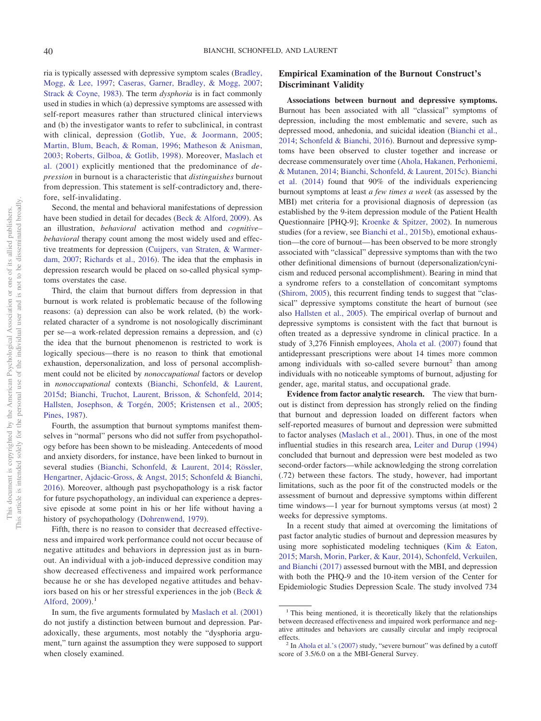ria is typically assessed with depressive symptom scales [\(Bradley,](#page-6-16) [Mogg, & Lee, 1997;](#page-6-16) [Caseras, Garner, Bradley, & Mogg, 2007;](#page-7-18) [Strack & Coyne, 1983\)](#page-9-15). The term *dysphoria* is in fact commonly used in studies in which (a) depressive symptoms are assessed with self-report measures rather than structured clinical interviews and (b) the investigator wants to refer to subclinical, in contrast with clinical, depression [\(Gotlib, Yue, & Joormann, 2005;](#page-7-19) [Martin, Blum, Beach, & Roman, 1996;](#page-8-22) [Matheson & Anisman,](#page-8-23) [2003;](#page-8-23) [Roberts, Gilboa, & Gotlib, 1998\)](#page-8-24). Moreover, [Maslach et](#page-8-1) [al. \(2001\)](#page-8-1) explicitly mentioned that the predominance of *depression* in burnout is a characteristic that *distinguishes* burnout from depression. This statement is self-contradictory and, therefore, self-invalidating.

Second, the mental and behavioral manifestations of depression have been studied in detail for decades [\(Beck & Alford, 2009\)](#page-6-14). As an illustration, *behavioral* activation method and *cognitive– behavioral* therapy count among the most widely used and effective treatments for depression [\(Cuijpers, van Straten, & Warmer](#page-7-20)[dam, 2007;](#page-7-20) [Richards et al., 2016\)](#page-8-25). The idea that the emphasis in depression research would be placed on so-called physical symptoms overstates the case.

Third, the claim that burnout differs from depression in that burnout is work related is problematic because of the following reasons: (a) depression can also be work related, (b) the workrelated character of a syndrome is not nosologically discriminant per se—a work-related depression remains a depression, and (c) the idea that the burnout phenomenon is restricted to work is logically specious—there is no reason to think that emotional exhaustion, depersonalization, and loss of personal accomplishment could not be elicited by *nonoccupational* factors or develop in *nonoccupational* contexts [\(Bianchi, Schonfeld, & Laurent,](#page-6-17) [2015d;](#page-6-17) [Bianchi, Truchot, Laurent, Brisson, & Schonfeld, 2014;](#page-6-18) [Hallsten, Josephson, & Torgén, 2005;](#page-7-21) [Kristensen et al., 2005;](#page-7-6) [Pines, 1987\)](#page-8-26).

Fourth, the assumption that burnout symptoms manifest themselves in "normal" persons who did not suffer from psychopathology before has been shown to be misleading. Antecedents of mood and anxiety disorders, for instance, have been linked to burnout in several studies [\(Bianchi, Schonfeld, & Laurent, 2014;](#page-6-19) [Rössler,](#page-8-27) [Hengartner, Ajdacic-Gross, & Angst, 2015;](#page-8-27) [Schonfeld & Bianchi,](#page-9-16) [2016\)](#page-9-16). Moreover, although past psychopathology is a risk factor for future psychopathology, an individual can experience a depressive episode at some point in his or her life without having a history of psychopathology [\(Dohrenwend, 1979\)](#page-7-22).

Fifth, there is no reason to consider that decreased effectiveness and impaired work performance could not occur because of negative attitudes and behaviors in depression just as in burnout. An individual with a job-induced depressive condition may show decreased effectiveness and impaired work performance because he or she has developed negative attitudes and behaviors based on his or her stressful experiences in the job [\(Beck &](#page-6-14) Alford,  $2009$ ).<sup>1</sup>

## **Empirical Examination of the Burnout Construct's Discriminant Validity**

**Associations between burnout and depressive symptoms.** Burnout has been associated with all "classical" symptoms of depression, including the most emblematic and severe, such as depressed mood, anhedonia, and suicidal ideation [\(Bianchi et al.,](#page-6-19) [2014;](#page-6-19) [Schonfeld & Bianchi, 2016\)](#page-9-16). Burnout and depressive symptoms have been observed to cluster together and increase or decrease commensurately over time [\(Ahola, Hakanen, Perhoniemi,](#page-6-20) [& Mutanen, 2014;](#page-6-20) [Bianchi, Schonfeld, & Laurent, 2015c\)](#page-6-21). [Bianchi](#page-6-19) [et al. \(2014\)](#page-6-19) found that 90% of the individuals experiencing burnout symptoms at least *a few times a week* (as assessed by the MBI) met criteria for a provisional diagnosis of depression (as established by the 9-item depression module of the Patient Health Questionnaire [PHQ-9]; [Kroenke & Spitzer, 2002\)](#page-7-23). In numerous studies (for a review, see [Bianchi et al., 2015b\)](#page-6-0), emotional exhaustion—the core of burnout— has been observed to be more strongly associated with "classical" depressive symptoms than with the two other definitional dimensions of burnout (depersonalization/cynicism and reduced personal accomplishment). Bearing in mind that a syndrome refers to a constellation of concomitant symptoms [\(Shirom, 2005\)](#page-9-3), this recurrent finding tends to suggest that "classical" depressive symptoms constitute the heart of burnout (see also [Hallsten et al., 2005\)](#page-7-21). The empirical overlap of burnout and depressive symptoms is consistent with the fact that burnout is often treated as a depressive syndrome in clinical practice. In a study of 3,276 Finnish employees, [Ahola et al. \(2007\)](#page-6-22) found that antidepressant prescriptions were about 14 times more common among individuals with so-called severe burnout<sup>2</sup> than among individuals with no noticeable symptoms of burnout, adjusting for gender, age, marital status, and occupational grade.

**Evidence from factor analytic research.** The view that burnout is distinct from depression has strongly relied on the finding that burnout and depression loaded on different factors when self-reported measures of burnout and depression were submitted to factor analyses [\(Maslach et al., 2001\)](#page-8-1). Thus, in one of the most influential studies in this research area, [Leiter and Durup \(1994\)](#page-8-28) concluded that burnout and depression were best modeled as two second-order factors—while acknowledging the strong correlation (.72) between these factors. The study, however, had important limitations, such as the poor fit of the constructed models or the assessment of burnout and depressive symptoms within different time windows—1 year for burnout symptoms versus (at most) 2 weeks for depressive symptoms.

In a recent study that aimed at overcoming the limitations of past factor analytic studies of burnout and depression measures by using more sophisticated modeling techniques [\(Kim & Eaton,](#page-7-24) [2015;](#page-7-24) [Marsh, Morin, Parker, & Kaur, 2014\)](#page-8-29), [Schonfeld, Verkuilen,](#page-9-17) [and Bianchi \(2017\)](#page-9-17) assessed burnout with the MBI, and depression with both the PHQ-9 and the 10-item version of the Center for Epidemiologic Studies Depression Scale. The study involved 734

In sum, the five arguments formulated by [Maslach et al. \(2001\)](#page-8-1) do not justify a distinction between burnout and depression. Paradoxically, these arguments, most notably the "dysphoria argument," turn against the assumption they were supposed to support when closely examined.

<sup>&</sup>lt;sup>1</sup> This being mentioned, it is theoretically likely that the relationships between decreased effectiveness and impaired work performance and negative attitudes and behaviors are causally circular and imply reciprocal effects. <sup>2</sup> In [Ahola et al.'s \(2007\)](#page-6-22) study, "severe burnout" was defined by a cutoff

score of 3.5/6.0 on a the MBI-General Survey.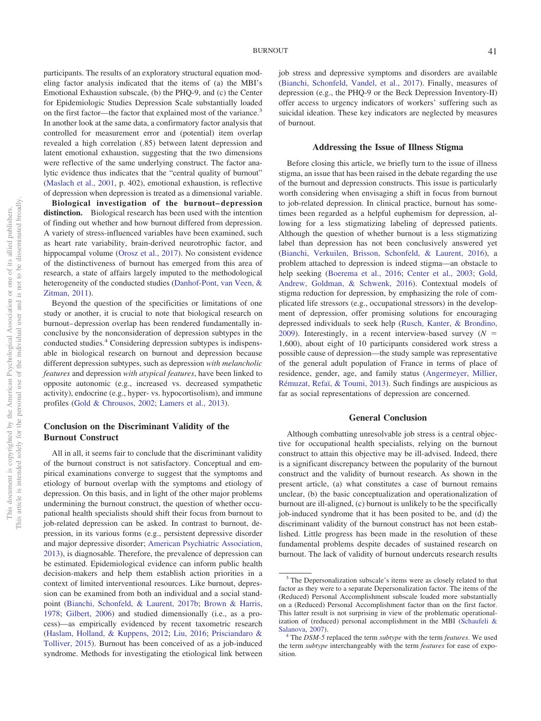participants. The results of an exploratory structural equation modeling factor analysis indicated that the items of (a) the MBI's Emotional Exhaustion subscale, (b) the PHQ-9, and (c) the Center for Epidemiologic Studies Depression Scale substantially loaded on the first factor—the factor that explained most of the variance.<sup>3</sup> In another look at the same data, a confirmatory factor analysis that controlled for measurement error and (potential) item overlap revealed a high correlation (.85) between latent depression and latent emotional exhaustion, suggesting that the two dimensions were reflective of the same underlying construct. The factor analytic evidence thus indicates that the "central quality of burnout" [\(Maslach et al., 2001,](#page-8-1) p. 402), emotional exhaustion, is reflective of depression when depression is treated as a dimensional variable.

**Biological investigation of the burnout– depression distinction.** Biological research has been used with the intention of finding out whether and how burnout differed from depression. A variety of stress-influenced variables have been examined, such as heart rate variability, brain-derived neurotrophic factor, and hippocampal volume [\(Orosz et al., 2017\)](#page-8-30). No consistent evidence of the distinctiveness of burnout has emerged from this area of research, a state of affairs largely imputed to the methodological heterogeneity of the conducted studies [\(Danhof-Pont, van Veen, &](#page-7-25) [Zitman, 2011\)](#page-7-25).

Beyond the question of the specificities or limitations of one study or another, it is crucial to note that biological research on burnout– depression overlap has been rendered fundamentally inconclusive by the nonconsideration of depression subtypes in the conducted studies.4 Considering depression subtypes is indispensable in biological research on burnout and depression because different depression subtypes, such as depression *with melancholic features* and depression *with atypical features*, have been linked to opposite autonomic (e.g., increased vs. decreased sympathetic activity), endocrine (e.g., hyper- vs. hypocortisolism), and immune profiles [\(Gold & Chrousos, 2002;](#page-7-26) [Lamers et al., 2013\)](#page-7-27).

#### **Conclusion on the Discriminant Validity of the Burnout Construct**

All in all, it seems fair to conclude that the discriminant validity of the burnout construct is not satisfactory. Conceptual and empirical examinations converge to suggest that the symptoms and etiology of burnout overlap with the symptoms and etiology of depression. On this basis, and in light of the other major problems undermining the burnout construct, the question of whether occupational health specialists should shift their focus from burnout to job-related depression can be asked. In contrast to burnout, depression, in its various forms (e.g., persistent depressive disorder and major depressive disorder; [American Psychiatric Association,](#page-6-13) [2013\)](#page-6-13), is diagnosable. Therefore, the prevalence of depression can be estimated. Epidemiological evidence can inform public health decision-makers and help them establish action priorities in a context of limited interventional resources. Like burnout, depression can be examined from both an individual and a social standpoint [\(Bianchi, Schonfeld, & Laurent, 2017b;](#page-6-23) [Brown & Harris,](#page-7-28) [1978;](#page-7-28) [Gilbert, 2006\)](#page-7-29) and studied dimensionally (i.e., as a process)—as empirically evidenced by recent taxometric research [\(Haslam, Holland, & Kuppens, 2012;](#page-7-30) [Liu, 2016;](#page-8-31) [Prisciandaro &](#page-8-32) [Tolliver, 2015\)](#page-8-32). Burnout has been conceived of as a job-induced syndrome. Methods for investigating the etiological link between

job stress and depressive symptoms and disorders are available [\(Bianchi, Schonfeld, Vandel, et al., 2017\)](#page-6-24). Finally, measures of depression (e.g., the PHQ-9 or the Beck Depression Inventory-II) offer access to urgency indicators of workers' suffering such as suicidal ideation. These key indicators are neglected by measures of burnout.

#### **Addressing the Issue of Illness Stigma**

Before closing this article, we briefly turn to the issue of illness stigma, an issue that has been raised in the debate regarding the use of the burnout and depression constructs. This issue is particularly worth considering when envisaging a shift in focus from burnout to job-related depression. In clinical practice, burnout has sometimes been regarded as a helpful euphemism for depression, allowing for a less stigmatizing labeling of depressed patients. Although the question of whether burnout is a less stigmatizing label than depression has not been conclusively answered yet [\(Bianchi, Verkuilen, Brisson, Schonfeld, & Laurent, 2016\)](#page-6-25), a problem attached to depression is indeed stigma—an obstacle to help seeking [\(Boerema et al., 2016;](#page-6-26) [Center et al., 2003;](#page-7-31) [Gold,](#page-7-32) [Andrew, Goldman, & Schwenk, 2016\)](#page-7-32). Contextual models of stigma reduction for depression, by emphasizing the role of complicated life stressors (e.g., occupational stressors) in the development of depression, offer promising solutions for encouraging depressed individuals to seek help [\(Rusch, Kanter, & Brondino,](#page-9-18) [2009\)](#page-9-18). Interestingly, in a recent interview-based survey  $(N =$ 1,600), about eight of 10 participants considered work stress a possible cause of depression—the study sample was representative of the general adult population of France in terms of place of residence, gender, age, and family status [\(Angermeyer, Millier,](#page-6-27) [Rémuzat, Refaï, & Toumi, 2013\)](#page-6-27). Such findings are auspicious as far as social representations of depression are concerned.

#### **General Conclusion**

Although combatting unresolvable job stress is a central objective for occupational health specialists, relying on the burnout construct to attain this objective may be ill-advised. Indeed, there is a significant discrepancy between the popularity of the burnout construct and the validity of burnout research. As shown in the present article, (a) what constitutes a case of burnout remains unclear, (b) the basic conceptualization and operationalization of burnout are ill-aligned, (c) burnout is unlikely to be the specifically job-induced syndrome that it has been posited to be, and (d) the discriminant validity of the burnout construct has not been established. Little progress has been made in the resolution of these fundamental problems despite decades of sustained research on burnout. The lack of validity of burnout undercuts research results

<sup>&</sup>lt;sup>3</sup> The Depersonalization subscale's items were as closely related to that factor as they were to a separate Depersonalization factor. The items of the (Reduced) Personal Accomplishment subscale loaded more substantially on a (Reduced) Personal Accomplishment factor than on the first factor. This latter result is not surprising in view of the problematic operationalization of (reduced) personal accomplishment in the MBI [\(Schaufeli &](#page-9-19) [Salanova, 2007\)](#page-9-19). <sup>4</sup> The *DSM-5* replaced the term *subtype* with the term *features*. We used

the term *subtype* interchangeably with the term *features* for ease of exposition.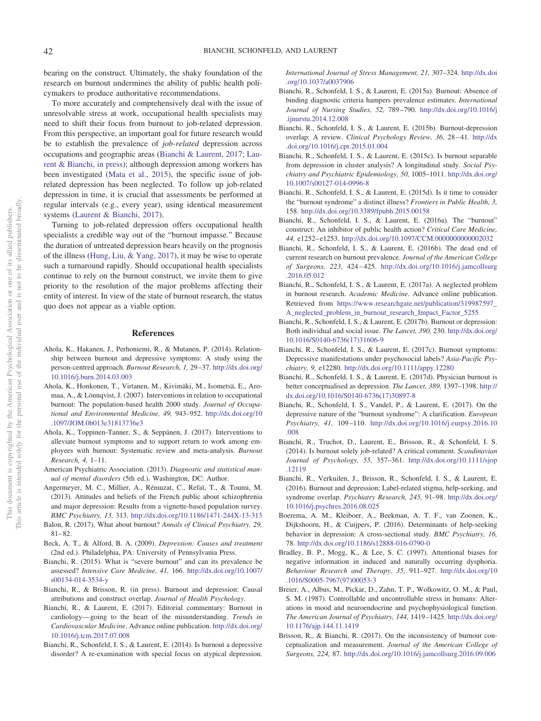bearing on the construct. Ultimately, the shaky foundation of the research on burnout undermines the ability of public health policymakers to produce authoritative recommendations.

To more accurately and comprehensively deal with the issue of unresolvable stress at work, occupational health specialists may need to shift their focus from burnout to job-related depression. From this perspective, an important goal for future research would be to establish the prevalence of *job-related* depression across occupations and geographic areas [\(Bianchi & Laurent, 2017;](#page-6-24) [Lau](#page-7-33)[rent & Bianchi, in press\)](#page-7-33); although depression among workers has been investigated [\(Mata et al., 2015\)](#page-8-33), the specific issue of jobrelated depression has been neglected. To follow up job-related depression in time, it is crucial that assessments be performed at regular intervals (e.g., every year), using identical measurement systems [\(Laurent & Bianchi, 2017\)](#page-7-34).

Turning to job-related depression offers occupational health specialists a credible way out of the "burnout impasse." Because the duration of untreated depression bears heavily on the prognosis of the illness [\(Hung, Liu, & Yang, 2017\)](#page-7-35), it may be wise to operate such a turnaround rapidly. Should occupational health specialists continue to rely on the burnout construct, we invite them to give priority to the resolution of the major problems affecting their entity of interest. In view of the state of burnout research, the status quo does not appear as a viable option.

#### **References**

- <span id="page-6-20"></span>Ahola, K., Hakanen, J., Perhoniemi, R., & Mutanen, P. (2014). Relationship between burnout and depressive symptoms: A study using the person-centred approach. *Burnout Research, 1,* 29 –37. [http://dx.doi.org/](http://dx.doi.org/10.1016/j.burn.2014.03.003) [10.1016/j.burn.2014.03.003](http://dx.doi.org/10.1016/j.burn.2014.03.003)
- <span id="page-6-22"></span>Ahola, K., Honkonen, T., Virtanen, M., Kivimäki, M., Isometsä, E., Aromaa, A., & Lönnqvist, J. (2007). Interventions in relation to occupational burnout: The population-based health 2000 study. *Journal of Occupational and Environmental Medicine, 49,* 943–952. [http://dx.doi.org/10](http://dx.doi.org/10.1097/JOM.0b013e31813736e3) [.1097/JOM.0b013e31813736e3](http://dx.doi.org/10.1097/JOM.0b013e31813736e3)
- <span id="page-6-9"></span>Ahola, K., Toppinen-Tanner, S., & Seppänen, J. (2017). Interventions to alleviate burnout symptoms and to support return to work among employees with burnout: Systematic review and meta-analysis. *Burnout Research, 4,* 1–11.
- <span id="page-6-13"></span>American Psychiatric Association. (2013). *Diagnostic and statistical manual of mental disorders* (5th ed.). Washington, DC: Author.
- <span id="page-6-27"></span>Angermeyer, M. C., Millier, A., Rémuzat, C., Refaï, T., & Toumi, M. (2013). Attitudes and beliefs of the French public about schizophrenia and major depression: Results from a vignette-based population survey. *BMC Psychiatry, 13,* 313. <http://dx.doi.org/10.1186/1471-244X-13-313>
- <span id="page-6-5"></span>Balon, R. (2017). What about burnout? *Annals of Clinical Psychiatry, 29,*  $81 - 82.$
- <span id="page-6-14"></span>Beck, A. T., & Alford, B. A. (2009). *Depression: Causes and treatment* (2nd ed.). Philadelphia, PA: University of Pennsylvania Press.
- <span id="page-6-3"></span>Bianchi, R. (2015). What is "severe burnout" and can its prevalence be assessed? *Intensive Care Medicine, 41,* 166. [http://dx.doi.org/10.1007/](http://dx.doi.org/10.1007/s00134-014-3534-y) [s00134-014-3534-y](http://dx.doi.org/10.1007/s00134-014-3534-y)
- <span id="page-6-10"></span>Bianchi, R., & Brisson, R. (in press). Burnout and depression: Causal attributions and construct overlap. *Journal of Health Psychology*.
- <span id="page-6-24"></span>Bianchi, R., & Laurent, E. (2017). Editorial commentary: Burnout in cardiology— going to the heart of the misunderstanding. *Trends in Cardiovascular Medicine*. Advance online publication. [http://dx.doi.org/](http://dx.doi.org/10.1016/j.tcm.2017.07.008) [10.1016/j.tcm.2017.07.008](http://dx.doi.org/10.1016/j.tcm.2017.07.008)
- <span id="page-6-19"></span>Bianchi, R., Schonfeld, I. S., & Laurent, E. (2014). Is burnout a depressive disorder? A re-examination with special focus on atypical depression.

*International Journal of Stress Management, 21,* 307–324. [http://dx.doi](http://dx.doi.org/10.1037/a0037906) [.org/10.1037/a0037906](http://dx.doi.org/10.1037/a0037906)

- <span id="page-6-1"></span>Bianchi, R., Schonfeld, I. S., & Laurent, E. (2015a). Burnout: Absence of binding diagnostic criteria hampers prevalence estimates. *International Journal of Nursing Studies, 52,* 789 –790. [http://dx.doi.org/10.1016/j](http://dx.doi.org/10.1016/j.ijnurstu.2014.12.008) [.ijnurstu.2014.12.008](http://dx.doi.org/10.1016/j.ijnurstu.2014.12.008)
- <span id="page-6-0"></span>Bianchi, R., Schonfeld, I. S., & Laurent, E. (2015b). Burnout-depression overlap: A review. *Clinical Psychology Review, 36,* 28 – 41. [http://dx](http://dx.doi.org/10.1016/j.cpr.2015.01.004) [.doi.org/10.1016/j.cpr.2015.01.004](http://dx.doi.org/10.1016/j.cpr.2015.01.004)
- <span id="page-6-21"></span>Bianchi, R., Schonfeld, I. S., & Laurent, E. (2015c). Is burnout separable from depression in cluster analysis? A longitudinal study. *Social Psychiatry and Psychiatric Epidemiology, 50,* 1005–1011. [http://dx.doi.org/](http://dx.doi.org/10.1007/s00127-014-0996-8) [10.1007/s00127-014-0996-8](http://dx.doi.org/10.1007/s00127-014-0996-8)
- <span id="page-6-17"></span>Bianchi, R., Schonfeld, I. S., & Laurent, E. (2015d). Is it time to consider the "burnout syndrome" a distinct illness? *Frontiers in Public Health, 3,* 158. <http://dx.doi.org/10.3389/fpubh.2015.00158>
- <span id="page-6-7"></span>Bianchi, R., Schonfeld, I. S., & Laurent, E. (2016a). The "burnout" construct: An inhibitor of public health action? *Critical Care Medicine, 44,* e1252– e1253. <http://dx.doi.org/10.1097/CCM.0000000000002032>
- <span id="page-6-6"></span>Bianchi, R., Schonfeld, I. S., & Laurent, E. (2016b). The dead end of current research on burnout prevalence. *Journal of the American College of Surgeons, 223,* 424 – 425. [http://dx.doi.org/10.1016/j.jamcollsurg](http://dx.doi.org/10.1016/j.jamcollsurg.2016.05.012) [.2016.05.012](http://dx.doi.org/10.1016/j.jamcollsurg.2016.05.012)
- <span id="page-6-11"></span>Bianchi, R., Schonfeld, I. S., & Laurent, E. (2017a). A neglected problem in burnout research. *Academic Medicine*. Advance online publication. Retrieved from [https://www.researchgate.net/publication/319987597\\_](https://www.researchgate.net/publication/319987597_A_neglected_problem_in_burnout_research_Impact_Factor_5255) A neglected problem in burnout research Impact Factor 5255
- <span id="page-6-23"></span>Bianchi, R., Schonfeld, I. S., & Laurent, E. (2017b). Burnout or depression: Both individual and social issue. *The Lancet, 390,* 230. [http://dx.doi.org/](http://dx.doi.org/10.1016/S0140-6736%2817%2931606-9) [10.1016/S0140-6736\(17\)31606-9](http://dx.doi.org/10.1016/S0140-6736%2817%2931606-9)
- <span id="page-6-12"></span>Bianchi, R., Schonfeld, I. S., & Laurent, E. (2017c). Burnout symptoms: Depressive manifestations under psychosocial labels? *Asia-Pacific Psychiatry, 9,* e12280. <http://dx.doi.org/10.1111/appy.12280>
- <span id="page-6-4"></span>Bianchi, R., Schonfeld, I. S., & Laurent, E. (2017d). Physician burnout is better conceptualised as depression. *The Lancet, 389,* 1397–1398. [http://](http://dx.doi.org/10.1016/S0140-6736%2817%2930897-8) [dx.doi.org/10.1016/S0140-6736\(17\)30897-8](http://dx.doi.org/10.1016/S0140-6736%2817%2930897-8)
- <span id="page-6-2"></span>Bianchi, R., Schonfeld, I. S., Vandel, P., & Laurent, E. (2017). On the depressive nature of the "burnout syndrome": A clarification. *European Psychiatry, 41,* 109 –110. [http://dx.doi.org/10.1016/j.eurpsy.2016.10](http://dx.doi.org/10.1016/j.eurpsy.2016.10.008) [.008](http://dx.doi.org/10.1016/j.eurpsy.2016.10.008)
- <span id="page-6-18"></span>Bianchi, R., Truchot, D., Laurent, E., Brisson, R., & Schonfeld, I. S. (2014). Is burnout solely job-related? A critical comment. *Scandinavian Journal of Psychology, 55,* 357–361. [http://dx.doi.org/10.1111/sjop](http://dx.doi.org/10.1111/sjop.12119) [.12119](http://dx.doi.org/10.1111/sjop.12119)
- <span id="page-6-25"></span>Bianchi, R., Verkuilen, J., Brisson, R., Schonfeld, I. S., & Laurent, E. (2016). Burnout and depression: Label-related stigma, help-seeking, and syndrome overlap. *Psychiatry Research, 245,* 91–98. [http://dx.doi.org/](http://dx.doi.org/10.1016/j.psychres.2016.08.025) [10.1016/j.psychres.2016.08.025](http://dx.doi.org/10.1016/j.psychres.2016.08.025)
- <span id="page-6-26"></span>Boerema, A. M., Kleiboer, A., Beekman, A. T. F., van Zoonen, K., Dijkshoorn, H., & Cuijpers, P. (2016). Determinants of help-seeking behavior in depression: A cross-sectional study. *BMC Psychiatry, 16,* 78. <http://dx.doi.org/10.1186/s12888-016-0790-0>
- <span id="page-6-16"></span>Bradley, B. P., Mogg, K., & Lee, S. C. (1997). Attentional biases for negative information in induced and naturally occurring dysphoria. *Behaviour Research and Therapy, 35,* 911–927. [http://dx.doi.org/10](http://dx.doi.org/10.1016/S0005-7967%2897%2900053-3) [.1016/S0005-7967\(97\)00053-3](http://dx.doi.org/10.1016/S0005-7967%2897%2900053-3)
- <span id="page-6-15"></span>Breier, A., Albus, M., Pickar, D., Zahn, T. P., Wolkowitz, O. M., & Paul, S. M. (1987). Controllable and uncontrollable stress in humans: Alterations in mood and neuroendocrine and psychophysiological function. *The American Journal of Psychiatry, 144,* 1419 –1425. [http://dx.doi.org/](http://dx.doi.org/10.1176/ajp.144.11.1419) [10.1176/ajp.144.11.1419](http://dx.doi.org/10.1176/ajp.144.11.1419)
- <span id="page-6-8"></span>Brisson, R., & Bianchi, R. (2017). On the inconsistency of burnout conceptualization and measurement. *Journal of the American College of Surgeons, 224,* 87. <http://dx.doi.org/10.1016/j.jamcollsurg.2016.09.006>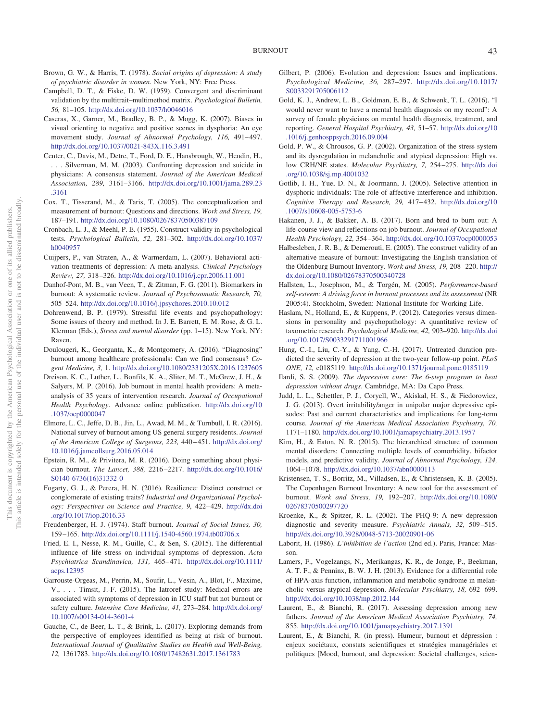- <span id="page-7-28"></span>Brown, G. W., & Harris, T. (1978). *Social origins of depression: A study of psychiatric disorder in women*. New York, NY: Free Press.
- <span id="page-7-10"></span>Campbell, D. T., & Fiske, D. W. (1959). Convergent and discriminant validation by the multitrait–multimethod matrix. *Psychological Bulletin, 56,* 81–105. <http://dx.doi.org/10.1037/h0046016>
- <span id="page-7-18"></span>Caseras, X., Garner, M., Bradley, B. P., & Mogg, K. (2007). Biases in visual orienting to negative and positive scenes in dysphoria: An eye movement study. *Journal of Abnormal Psychology, 116, 491-497*. <http://dx.doi.org/10.1037/0021-843X.116.3.491>
- <span id="page-7-31"></span>Center, C., Davis, M., Detre, T., Ford, D. E., Hansbrough, W., Hendin, H., . . . Silverman, M. M. (2003). Confronting depression and suicide in physicians: A consensus statement. *Journal of the American Medical Association, 289,* 3161–3166. [http://dx.doi.org/10.1001/jama.289.23](http://dx.doi.org/10.1001/jama.289.23.3161) [.3161](http://dx.doi.org/10.1001/jama.289.23.3161)
- <span id="page-7-1"></span>Cox, T., Tisserand, M., & Taris, T. (2005). The conceptualization and measurement of burnout: Questions and directions. *Work and Stress, 19,* 187–191. <http://dx.doi.org/10.1080/02678370500387109>
- <span id="page-7-11"></span>Cronbach, L. J., & Meehl, P. E. (1955). Construct validity in psychological tests. *Psychological Bulletin, 52,* 281–302. [http://dx.doi.org/10.1037/](http://dx.doi.org/10.1037/h0040957) [h0040957](http://dx.doi.org/10.1037/h0040957)
- <span id="page-7-20"></span>Cuijpers, P., van Straten, A., & Warmerdam, L. (2007). Behavioral activation treatments of depression: A meta-analysis. *Clinical Psychology Review, 27,* 318 –326. <http://dx.doi.org/10.1016/j.cpr.2006.11.001>
- <span id="page-7-25"></span>Danhof-Pont, M. B., van Veen, T., & Zitman, F. G. (2011). Biomarkers in burnout: A systematic review. *Journal of Psychosomatic Research, 70,* 505–524. <http://dx.doi.org/10.1016/j.jpsychores.2010.10.012>
- <span id="page-7-22"></span>Dohrenwend, B. P. (1979). Stressful life events and psychopathology: Some issues of theory and method. In J. E. Barrett, E. M. Rose, & G. L. Klerman (Eds.), *Stress and mental disorder* (pp. 1–15). New York, NY: Raven.
- <span id="page-7-2"></span>Doulougeri, K., Georganta, K., & Montgomery, A. (2016). "Diagnosing" burnout among healthcare professionals: Can we find consensus? *Cogent Medicine, 3,* 1. <http://dx.doi.org/10.1080/2331205X.2016.1237605>
- <span id="page-7-8"></span>Dreison, K. C., Luther, L., Bonfils, K. A., Sliter, M. T., McGrew, J. H., & Salyers, M. P. (2016). Job burnout in mental health providers: A metaanalysis of 35 years of intervention research. *Journal of Occupational Health Psychology*. Advance online publication. [http://dx.doi.org/10](http://dx.doi.org/10.1037/ocp0000047) [.1037/ocp0000047](http://dx.doi.org/10.1037/ocp0000047)
- <span id="page-7-4"></span>Elmore, L. C., Jeffe, D. B., Jin, L., Awad, M. M., & Turnbull, I. R. (2016). National survey of burnout among US general surgery residents. *Journal of the American College of Surgeons, 223,* 440 – 451. [http://dx.doi.org/](http://dx.doi.org/10.1016/j.jamcollsurg.2016.05.014) [10.1016/j.jamcollsurg.2016.05.014](http://dx.doi.org/10.1016/j.jamcollsurg.2016.05.014)
- <span id="page-7-5"></span>Epstein, R. M., & Privitera, M. R. (2016). Doing something about physician burnout. *The Lancet, 388,* 2216 –2217. [http://dx.doi.org/10.1016/](http://dx.doi.org/10.1016/S0140-6736%2816%2931332-0) [S0140-6736\(16\)31332-0](http://dx.doi.org/10.1016/S0140-6736%2816%2931332-0)
- <span id="page-7-14"></span>Fogarty, G. J., & Perera, H. N. (2016). Resilience: Distinct construct or conglomerate of existing traits? *Industrial and Organizational Psychology: Perspectives on Science and Practice, 9,* 422– 429. [http://dx.doi](http://dx.doi.org/10.1017/iop.2016.33) [.org/10.1017/iop.2016.33](http://dx.doi.org/10.1017/iop.2016.33)
- <span id="page-7-0"></span>Freudenberger, H. J. (1974). Staff burnout. *Journal of Social Issues, 30,* 159 –165. <http://dx.doi.org/10.1111/j.1540-4560.1974.tb00706.x>
- <span id="page-7-17"></span>Fried, E. I., Nesse, R. M., Guille, C., & Sen, S. (2015). The differential influence of life stress on individual symptoms of depression. *Acta Psychiatrica Scandinavica, 131,* 465– 471. [http://dx.doi.org/10.1111/](http://dx.doi.org/10.1111/acps.12395) [acps.12395](http://dx.doi.org/10.1111/acps.12395)
- <span id="page-7-3"></span>Garrouste-Orgeas, M., Perrin, M., Soufir, L., Vesin, A., Blot, F., Maxime, V., . . . Timsit, J.-F. (2015). The Iatroref study: Medical errors are associated with symptoms of depression in ICU staff but not burnout or safety culture. *Intensive Care Medicine, 41,* 273–284. [http://dx.doi.org/](http://dx.doi.org/10.1007/s00134-014-3601-4) [10.1007/s00134-014-3601-4](http://dx.doi.org/10.1007/s00134-014-3601-4)
- <span id="page-7-9"></span>Gauche, C., de Beer, L. T., & Brink, L. (2017). Exploring demands from the perspective of employees identified as being at risk of burnout. *International Journal of Qualitative Studies on Health and Well-Being, 12,* 1361783. <http://dx.doi.org/10.1080/17482631.2017.1361783>
- <span id="page-7-29"></span>Gilbert, P. (2006). Evolution and depression: Issues and implications. *Psychological Medicine, 36,* 287–297. [http://dx.doi.org/10.1017/](http://dx.doi.org/10.1017/S0033291705006112) [S0033291705006112](http://dx.doi.org/10.1017/S0033291705006112)
- <span id="page-7-32"></span>Gold, K. J., Andrew, L. B., Goldman, E. B., & Schwenk, T. L. (2016). "I would never want to have a mental health diagnosis on my record": A survey of female physicians on mental health diagnosis, treatment, and reporting. *General Hospital Psychiatry, 43,* 51–57. [http://dx.doi.org/10](http://dx.doi.org/10.1016/j.genhosppsych.2016.09.004) [.1016/j.genhosppsych.2016.09.004](http://dx.doi.org/10.1016/j.genhosppsych.2016.09.004)
- <span id="page-7-26"></span>Gold, P. W., & Chrousos, G. P. (2002). Organization of the stress system and its dysregulation in melancholic and atypical depression: High vs. low CRH/NE states. *Molecular Psychiatry, 7,* 254 –275. [http://dx.doi](http://dx.doi.org/10.1038/sj.mp.4001032) [.org/10.1038/sj.mp.4001032](http://dx.doi.org/10.1038/sj.mp.4001032)
- <span id="page-7-19"></span>Gotlib, I. H., Yue, D. N., & Joormann, J. (2005). Selective attention in dysphoric individuals: The role of affective interference and inhibition. *Cognitive Therapy and Research, 29,* 417– 432. [http://dx.doi.org/10](http://dx.doi.org/10.1007/s10608-005-5753-6) [.1007/s10608-005-5753-6](http://dx.doi.org/10.1007/s10608-005-5753-6)
- <span id="page-7-7"></span>Hakanen, J. J., & Bakker, A. B. (2017). Born and bred to burn out: A life-course view and reflections on job burnout. *Journal of Occupational Health Psychology, 22,* 354 –364. <http://dx.doi.org/10.1037/ocp0000053>
- <span id="page-7-12"></span>Halbesleben, J. R. B., & Demerouti, E. (2005). The construct validity of an alternative measure of burnout: Investigating the English translation of the Oldenburg Burnout Inventory. *Work and Stress, 19,* 208 –220. [http://](http://dx.doi.org/10.1080/02678370500340728) [dx.doi.org/10.1080/02678370500340728](http://dx.doi.org/10.1080/02678370500340728)
- <span id="page-7-21"></span>Hallsten, L., Josephson, M., & Torgén, M. (2005). *Performance-based self-esteem: A driving force in burnout processes and its assessment* (NR 2005:4). Stockholm, Sweden: National Institute for Working Life.
- <span id="page-7-30"></span>Haslam, N., Holland, E., & Kuppens, P. (2012). Categories versus dimensions in personality and psychopathology: A quantitative review of taxometric research. *Psychological Medicine, 42,* 903–920. [http://dx.doi](http://dx.doi.org/10.1017/S0033291711001966) [.org/10.1017/S0033291711001966](http://dx.doi.org/10.1017/S0033291711001966)
- <span id="page-7-35"></span>Hung, C.-I., Liu, C.-Y., & Yang, C.-H. (2017). Untreated duration predicted the severity of depression at the two-year follow-up point. *PLoS ONE, 12,* e0185119. <http://dx.doi.org/10.1371/journal.pone.0185119>
- <span id="page-7-15"></span>Ilardi, S. S. (2009). *The depression cure: The 6-step program to beat depression without drugs*. Cambridge, MA: Da Capo Press.
- <span id="page-7-13"></span>Judd, L. L., Schettler, P. J., Coryell, W., Akiskal, H. S., & Fiedorowicz, J. G. (2013). Overt irritability/anger in unipolar major depressive episodes: Past and current characteristics and implications for long-term course. *Journal of the American Medical Association Psychiatry, 70,* 1171–1180. <http://dx.doi.org/10.1001/jamapsychiatry.2013.1957>
- <span id="page-7-24"></span>Kim, H., & Eaton, N. R. (2015). The hierarchical structure of common mental disorders: Connecting multiple levels of comorbidity, bifactor models, and predictive validity. *Journal of Abnormal Psychology, 124,* 1064 –1078. <http://dx.doi.org/10.1037/abn0000113>
- <span id="page-7-6"></span>Kristensen, T. S., Borritz, M., Villadsen, E., & Christensen, K. B. (2005). The Copenhagen Burnout Inventory: A new tool for the assessment of burnout. *Work and Stress, 19,* 192–207. [http://dx.doi.org/10.1080/](http://dx.doi.org/10.1080/02678370500297720) [02678370500297720](http://dx.doi.org/10.1080/02678370500297720)
- <span id="page-7-23"></span>Kroenke, K., & Spitzer, R. L. (2002). The PHQ-9: A new depression diagnostic and severity measure. *Psychiatric Annals, 32,* 509 –515. <http://dx.doi.org/10.3928/0048-5713-20020901-06>
- <span id="page-7-16"></span>Laborit, H. (1986). *L'inhibition de l'action* (2nd ed.). Paris, France: Masson.
- <span id="page-7-27"></span>Lamers, F., Vogelzangs, N., Merikangas, K. R., de Jonge, P., Beekman, A. T. F., & Penninx, B. W. J. H. (2013). Evidence for a differential role of HPA-axis function, inflammation and metabolic syndrome in melancholic versus atypical depression. *Molecular Psychiatry, 18,* 692– 699. <http://dx.doi.org/10.1038/mp.2012.144>
- <span id="page-7-34"></span>Laurent, E., & Bianchi, R. (2017). Assessing depression among new fathers. *Journal of the American Medical Association Psychiatry, 74,* 855. <http://dx.doi.org/10.1001/jamapsychiatry.2017.1391>
- <span id="page-7-33"></span>Laurent, E., & Bianchi, R. (in press). Humeur, burnout et dépression : enjeux sociétaux, constats scientifiques et stratégies managériales et politiques [Mood, burnout, and depression: Societal challenges, scien-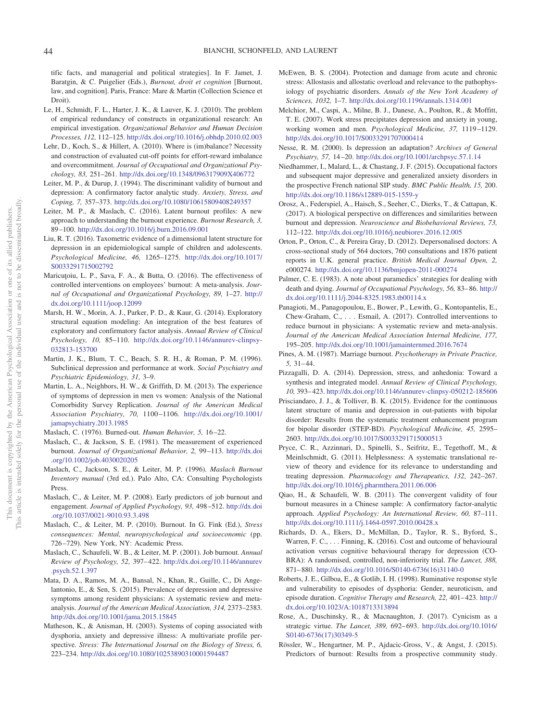tific facts, and managerial and political strategies]. In F. Jamet, J. Baratgin, & C. Puigelier (Eds.), *Burnout, droit et cognition* [Burnout, law, and cognition]. Paris, France: Mare & Martin (Collection Science et Droit).

- <span id="page-8-13"></span>Le, H., Schmidt, F. L., Harter, J. K., & Lauver, K. J. (2010). The problem of empirical redundancy of constructs in organizational research: An empirical investigation. *Organizational Behavior and Human Decision Processes, 112,* 112–125. <http://dx.doi.org/10.1016/j.obhdp.2010.02.003>
- <span id="page-8-6"></span>Lehr, D., Koch, S., & Hillert, A. (2010). Where is (im)balance? Necessity and construction of evaluated cut-off points for effort-reward imbalance and overcommitment. *Journal of Occupational and Organizational Psychology, 83,* 251–261. <http://dx.doi.org/10.1348/096317909X406772>
- <span id="page-8-28"></span>Leiter, M. P., & Durup, J. (1994). The discriminant validity of burnout and depression: A confirmatory factor analytic study. *Anxiety, Stress, and Coping, 7,* 357–373. <http://dx.doi.org/10.1080/10615809408249357>
- <span id="page-8-4"></span>Leiter, M. P., & Maslach, C. (2016). Latent burnout profiles: A new approach to understanding the burnout experience. *Burnout Research, 3,* 89 –100. <http://dx.doi.org/10.1016/j.burn.2016.09.001>
- <span id="page-8-31"></span>Liu, R. T. (2016). Taxometric evidence of a dimensional latent structure for depression in an epidemiological sample of children and adolescents. *Psychological Medicine, 46,* 1265–1275. [http://dx.doi.org/10.1017/](http://dx.doi.org/10.1017/S0033291715002792) [S0033291715002792](http://dx.doi.org/10.1017/S0033291715002792)
- <span id="page-8-11"></span>Maricutoiu, L. P., Sava, F. A., & Butta, O. (2016). The effectiveness of controlled interventions on employees' burnout: A meta-analysis. *Journal of Occupational and Organizational Psychology, 89,* 1–27. [http://](http://dx.doi.org/10.1111/joop.12099) [dx.doi.org/10.1111/joop.12099](http://dx.doi.org/10.1111/joop.12099)
- <span id="page-8-29"></span>Marsh, H. W., Morin, A. J., Parker, P. D., & Kaur, G. (2014). Exploratory structural equation modeling: An integration of the best features of exploratory and confirmatory factor analysis. *Annual Review of Clinical Psychology, 10,* 85–110. [http://dx.doi.org/10.1146/annurev-clinpsy-](http://dx.doi.org/10.1146/annurev-clinpsy-032813-153700)[032813-153700](http://dx.doi.org/10.1146/annurev-clinpsy-032813-153700)
- <span id="page-8-22"></span>Martin, J. K., Blum, T. C., Beach, S. R. H., & Roman, P. M. (1996). Subclinical depression and performance at work. *Social Psychiatry and Psychiatric Epidemiology, 31,* 3–9.
- <span id="page-8-15"></span>Martin, L. A., Neighbors, H. W., & Griffith, D. M. (2013). The experience of symptoms of depression in men vs women: Analysis of the National Comorbidity Survey Replication. *Journal of the American Medical Association Psychiatry, 70,* 1100 –1106. [http://dx.doi.org/10.1001/](http://dx.doi.org/10.1001/jamapsychiatry.2013.1985) [jamapsychiatry.2013.1985](http://dx.doi.org/10.1001/jamapsychiatry.2013.1985)
- <span id="page-8-3"></span><span id="page-8-0"></span>Maslach, C. (1976). Burned-out. *Human Behavior, 5,* 16 –22.
- Maslach, C., & Jackson, S. E. (1981). The measurement of experienced burnout. *Journal of Organizational Behavior, 2,* 99 –113. [http://dx.doi](http://dx.doi.org/10.1002/job.4030020205) [.org/10.1002/job.4030020205](http://dx.doi.org/10.1002/job.4030020205)
- <span id="page-8-5"></span>Maslach, C., Jackson, S. E., & Leiter, M. P. (1996). *Maslach Burnout Inventory manual* (3rd ed.). Palo Alto, CA: Consulting Psychologists Press.
- <span id="page-8-7"></span>Maslach, C., & Leiter, M. P. (2008). Early predictors of job burnout and engagement. *Journal of Applied Psychology, 93,* 498 –512. [http://dx.doi](http://dx.doi.org/10.1037/0021-9010.93.3.498) [.org/10.1037/0021-9010.93.3.498](http://dx.doi.org/10.1037/0021-9010.93.3.498)
- <span id="page-8-2"></span>Maslach, C., & Leiter, M. P. (2010). Burnout. In G. Fink (Ed.), *Stress consequences: Mental, neuropsychological and socioeconomic* (pp. 726 –729). New York, NY: Academic Press.
- <span id="page-8-1"></span>Maslach, C., Schaufeli, W. B., & Leiter, M. P. (2001). Job burnout. *Annual Review of Psychology, 52,* 397– 422. [http://dx.doi.org/10.1146/annurev](http://dx.doi.org/10.1146/annurev.psych.52.1.397) [.psych.52.1.397](http://dx.doi.org/10.1146/annurev.psych.52.1.397)
- <span id="page-8-33"></span>Mata, D. A., Ramos, M. A., Bansal, N., Khan, R., Guille, C., Di Angelantonio, E., & Sen, S. (2015). Prevalence of depression and depressive symptoms among resident physicians: A systematic review and metaanalysis. *Journal of the American Medical Association, 314,* 2373–2383. <http://dx.doi.org/10.1001/jama.2015.15845>
- <span id="page-8-23"></span>Matheson, K., & Anisman, H. (2003). Systems of coping associated with dysphoria, anxiety and depressive illness: A multivariate profile perspective. *Stress: The International Journal on the Biology of Stress, 6,* 223–234. <http://dx.doi.org/10.1080/10253890310001594487>
- <span id="page-8-16"></span>McEwen, B. S. (2004). Protection and damage from acute and chronic stress: Allostasis and allostatic overload and relevance to the pathophysiology of psychiatric disorders. *Annals of the New York Academy of Sciences, 1032,* 1–7. <http://dx.doi.org/10.1196/annals.1314.001>
- <span id="page-8-20"></span>Melchior, M., Caspi, A., Milne, B. J., Danese, A., Poulton, R., & Moffitt, T. E. (2007). Work stress precipitates depression and anxiety in young, working women and men. *Psychological Medicine, 37,* 1119 –1129. <http://dx.doi.org/10.1017/S0033291707000414>
- <span id="page-8-19"></span>Nesse, R. M. (2000). Is depression an adaptation? *Archives of General Psychiatry, 57,* 14 –20. <http://dx.doi.org/10.1001/archpsyc.57.1.14>
- <span id="page-8-21"></span>Niedhammer, I., Malard, L., & Chastang, J. F. (2015). Occupational factors and subsequent major depressive and generalized anxiety disorders in the prospective French national SIP study. *BMC Public Health, 15,* 200. <http://dx.doi.org/10.1186/s12889-015-1559-y>
- <span id="page-8-30"></span>Orosz, A., Federspiel, A., Haisch, S., Seeher, C., Dierks, T., & Cattapan, K. (2017). A biological perspective on differences and similarities between burnout and depression. *Neuroscience and Biobehavioral Reviews, 73,* 112–122. <http://dx.doi.org/10.1016/j.neubiorev.2016.12.005>
- <span id="page-8-8"></span>Orton, P., Orton, C., & Pereira Gray, D. (2012). Depersonalised doctors: A cross-sectional study of 564 doctors, 760 consultations and 1876 patient reports in U.K. general practice. *British Medical Journal Open, 2,* e000274. <http://dx.doi.org/10.1136/bmjopen-2011-000274>
- <span id="page-8-10"></span>Palmer, C. E. (1983). A note about paramedics' strategies for dealing with death and dying. *Journal of Occupational Psychology, 56,* 83– 86. [http://](http://dx.doi.org/10.1111/j.2044-8325.1983.tb00114.x) [dx.doi.org/10.1111/j.2044-8325.1983.tb00114.x](http://dx.doi.org/10.1111/j.2044-8325.1983.tb00114.x)
- <span id="page-8-12"></span>Panagioti, M., Panagopoulou, E., Bower, P., Lewith, G., Kontopantelis, E., Chew-Graham, C.,... Esmail, A. (2017). Controlled interventions to reduce burnout in physicians: A systematic review and meta-analysis. *Journal of the American Medical Association Internal Medicine, 177,* 195–205. <http://dx.doi.org/10.1001/jamainternmed.2016.7674>
- <span id="page-8-26"></span>Pines, A. M. (1987). Marriage burnout. *Psychotherapy in Private Practice, 5,* 31– 44.
- <span id="page-8-17"></span>Pizzagalli, D. A. (2014). Depression, stress, and anhedonia: Toward a synthesis and integrated model. *Annual Review of Clinical Psychology, 10,* 393– 423. <http://dx.doi.org/10.1146/annurev-clinpsy-050212-185606>
- <span id="page-8-32"></span>Prisciandaro, J. J., & Tolliver, B. K. (2015). Evidence for the continuous latent structure of mania and depression in out-patients with bipolar disorder: Results from the systematic treatment enhancement program for bipolar disorder (STEP-BD). *Psychological Medicine, 45,* 2595– 2603. <http://dx.doi.org/10.1017/S0033291715000513>
- <span id="page-8-18"></span>Pryce, C. R., Azzinnari, D., Spinelli, S., Seifritz, E., Tegethoff, M., & Meinlschmidt, G. (2011). Helplessness: A systematic translational review of theory and evidence for its relevance to understanding and treating depression. *Pharmacology and Therapeutics, 132,* 242–267. <http://dx.doi.org/10.1016/j.pharmthera.2011.06.006>
- <span id="page-8-14"></span>Qiao, H., & Schaufeli, W. B. (2011). The convergent validity of four burnout measures in a Chinese sample: A confirmatory factor-analytic approach. *Applied Psychology: An International Review, 60,* 87–111. <http://dx.doi.org/10.1111/j.1464-0597.2010.00428.x>
- <span id="page-8-25"></span>Richards, D. A., Ekers, D., McMillan, D., Taylor, R. S., Byford, S., Warren, F. C., . . . Finning, K. (2016). Cost and outcome of behavioural activation versus cognitive behavioural therapy for depression (CO-BRA): A randomised, controlled, non-inferiority trial. *The Lancet, 388,* 871– 880. [http://dx.doi.org/10.1016/S0140-6736\(16\)31140-0](http://dx.doi.org/10.1016/S0140-6736%2816%2931140-0)
- <span id="page-8-24"></span>Roberts, J. E., Gilboa, E., & Gotlib, I. H. (1998). Ruminative response style and vulnerability to episodes of dysphoria: Gender, neuroticism, and episode duration. *Cognitive Therapy and Research*, 22, 401-423. [http://](http://dx.doi.org/10.1023/A:1018713313894) [dx.doi.org/10.1023/A:1018713313894](http://dx.doi.org/10.1023/A:1018713313894)
- <span id="page-8-9"></span>Rose, A., Duschinsky, R., & Macnaughton, J. (2017). Cynicism as a strategic virtue. *The Lancet, 389,* 692– 693. [http://dx.doi.org/10.1016/](http://dx.doi.org/10.1016/S0140-6736%2817%2930349-5) [S0140-6736\(17\)30349-5](http://dx.doi.org/10.1016/S0140-6736%2817%2930349-5)
- <span id="page-8-27"></span>Rössler, W., Hengartner, M. P., Ajdacic-Gross, V., & Angst, J. (2015). Predictors of burnout: Results from a prospective community study.